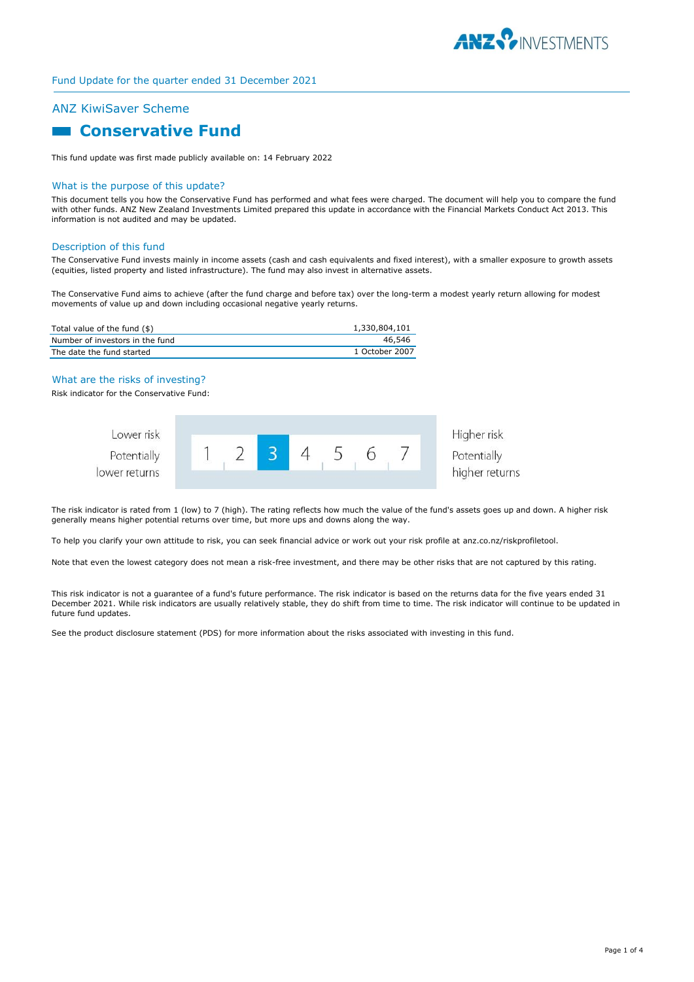

# ANZ KiwiSaver Scheme

# **Conservative Fund**

This fund update was first made publicly available on: 14 February 2022

## What is the purpose of this update?

This document tells you how the Conservative Fund has performed and what fees were charged. The document will help you to compare the fund with other funds. ANZ New Zealand Investments Limited prepared this update in accordance with the Financial Markets Conduct Act 2013. This information is not audited and may be updated.

# Description of this fund

The Conservative Fund invests mainly in income assets (cash and cash equivalents and fixed interest), with a smaller exposure to growth assets (equities, listed property and listed infrastructure). The fund may also invest in alternative assets.

The Conservative Fund aims to achieve (after the fund charge and before tax) over the long-term a modest yearly return allowing for modest movements of value up and down including occasional negative yearly returns.

| Total value of the fund (\$)    | 1,330,804,101  |
|---------------------------------|----------------|
| Number of investors in the fund | 46.546         |
| The date the fund started       | 1 October 2007 |

# What are the risks of investing?

Risk indicator for the Conservative Fund:



The risk indicator is rated from 1 (low) to 7 (high). The rating reflects how much the value of the fund's assets goes up and down. A higher risk generally means higher potential returns over time, but more ups and downs along the way.

To help you clarify your own attitude to risk, you can seek financial advice or work out your risk profile at anz.co.nz/riskprofiletool.

Note that even the lowest category does not mean a risk-free investment, and there may be other risks that are not captured by this rating.

This risk indicator is not a guarantee of a fund's future performance. The risk indicator is based on the returns data for the five years ended 31 December 2021. While risk indicators are usually relatively stable, they do shift from time to time. The risk indicator will continue to be updated in future fund updates.

See the product disclosure statement (PDS) for more information about the risks associated with investing in this fund.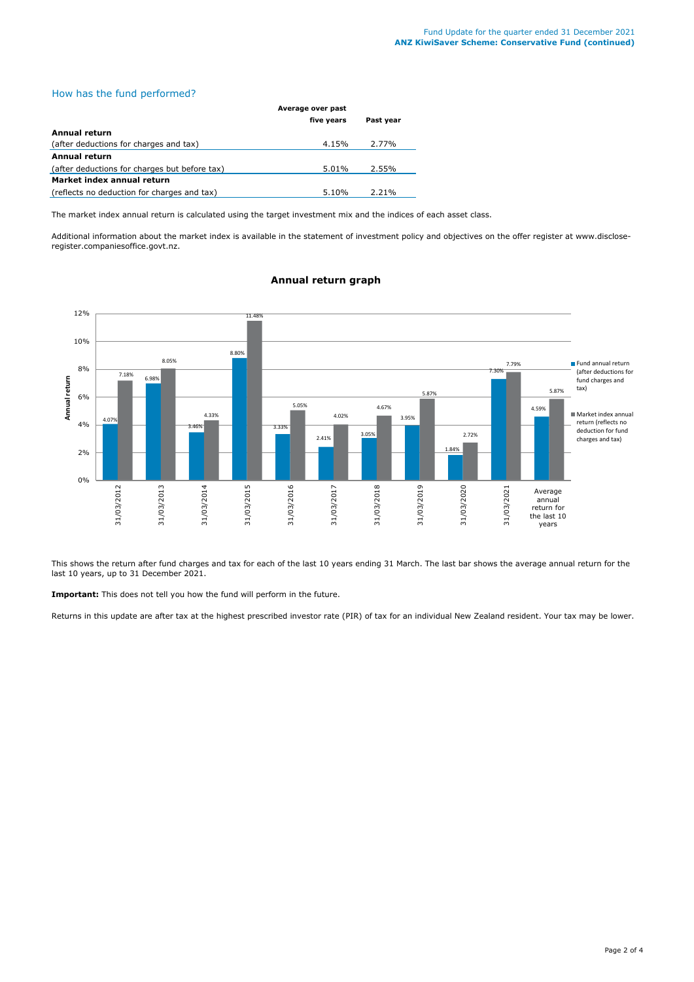# How has the fund performed?

|                                               | Average over past |           |
|-----------------------------------------------|-------------------|-----------|
|                                               | five years        | Past year |
| Annual return                                 |                   |           |
| (after deductions for charges and tax)        | 4.15%             | 2.77%     |
| Annual return                                 |                   |           |
| (after deductions for charges but before tax) | 5.01%             | 2.55%     |
| Market index annual return                    |                   |           |
| (reflects no deduction for charges and tax)   | 5.10%             | 2.21%     |

The market index annual return is calculated using the target investment mix and the indices of each asset class.

Additional information about the market index is available in the statement of investment policy and objectives on the offer register at www.discloseregister.companiesoffice.govt.nz.



# **Annual return graph**

This shows the return after fund charges and tax for each of the last 10 years ending 31 March. The last bar shows the average annual return for the last 10 years, up to 31 December 2021.

**Important:** This does not tell you how the fund will perform in the future.

Returns in this update are after tax at the highest prescribed investor rate (PIR) of tax for an individual New Zealand resident. Your tax may be lower.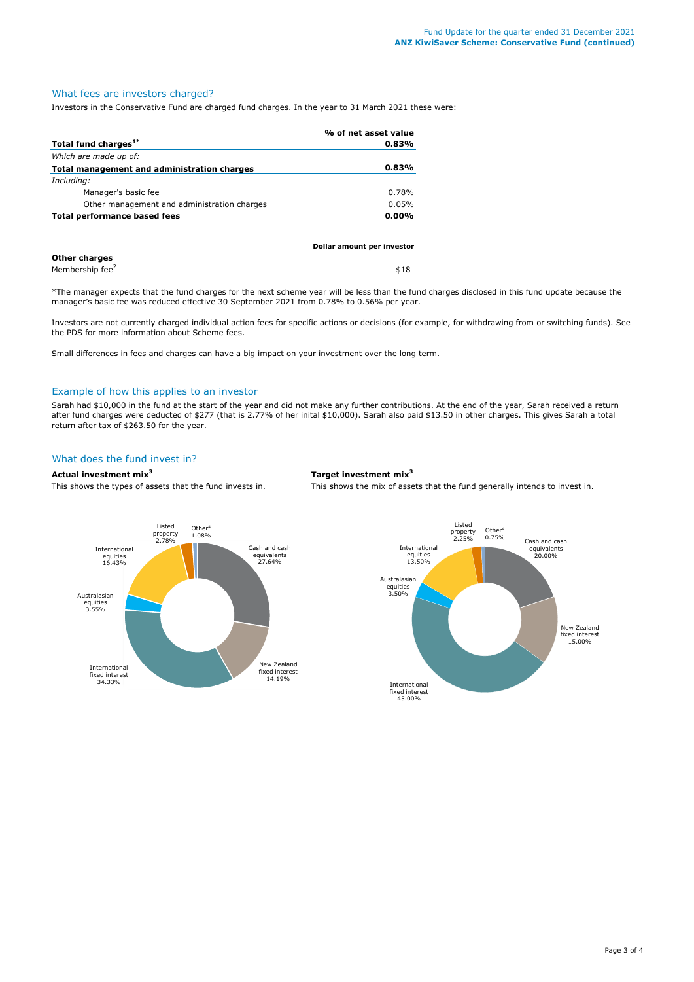# What fees are investors charged?

Investors in the Conservative Fund are charged fund charges. In the year to 31 March 2021 these were:

|                                             | % of net asset value |
|---------------------------------------------|----------------------|
| Total fund charges <sup>1*</sup>            | 0.83%                |
| Which are made up of:                       |                      |
| Total management and administration charges | 0.83%                |
| Including:                                  |                      |
| Manager's basic fee                         | 0.78%                |
| Other management and administration charges | 0.05%                |
| Total performance based fees                | $0.00\%$             |
|                                             |                      |
|                                             |                      |

|                             | Dollar amount per investor |  |
|-----------------------------|----------------------------|--|
| <b>Other charges</b>        |                            |  |
| Membership fee <sup>2</sup> | \$18                       |  |

\*The manager expects that the fund charges for the next scheme year will be less than the fund charges disclosed in this fund update because the manager's basic fee was reduced effective 30 September 2021 from 0.78% to 0.56% per year.

Investors are not currently charged individual action fees for specific actions or decisions (for example, for withdrawing from or switching funds). See the PDS for more information about Scheme fees.

Small differences in fees and charges can have a big impact on your investment over the long term.

# Example of how this applies to an investor

Sarah had \$10,000 in the fund at the start of the year and did not make any further contributions. At the end of the year, Sarah received a return after fund charges were deducted of \$277 (that is 2.77% of her inital \$10,000). Sarah also paid \$13.50 in other charges. This gives Sarah a total return after tax of \$263.50 for the year.

# What does the fund invest in?

#### **Actual investment mix<sup>3</sup> Target investment mix<sup>3</sup>**

This shows the types of assets that the fund invests in. This shows the mix of assets that the fund generally intends to invest in.